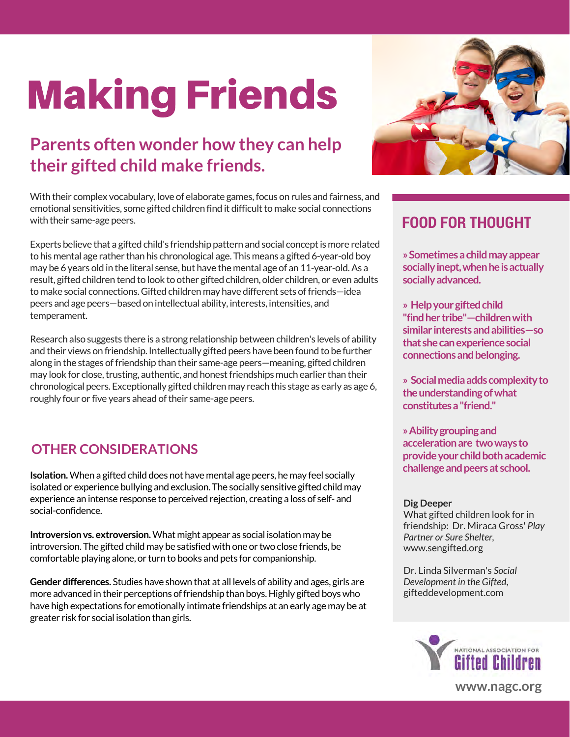## Making Friends

## **Parents often wonder how they can help their gifted child make friends.**

With their complex vocabulary, love of elaborate games, focus on rules and fairness, and emotional sensitivities, some gifted children find it difficult to make social connections with their same-age peers.

Experts believe that a gifted child's friendship pattern and social concept is more related to his mental age rather than his chronological age. This means a gifted 6-year-old boy may be 6 years old in the literal sense, but have the mental age of an 11-year-old. As a result, gifted children tend to look to other gifted children, older children, or even adults to make social connections. Gifted children may have different sets of friends—idea peers and age peers—based on intellectual ability, interests, intensities, and temperament.

Research also suggests there is a strong relationship between children's levels of ability and their views on friendship. Intellectually gifted peers have been found to be further along in the stages of friendship than their same-age peers—meaning, gifted children may look for close, trusting, authentic, and honest friendships much earlier than their chronological peers. Exceptionally gifted children may reach this stage as early as age 6, roughly four or five years ahead of their same-age peers.

### **OTHER CONSIDERATIONS**

**challenge and peers at school. Isolation.** When a gifted child does not have mental age peers, he may feel socially isolated or experience bullying and exclusion. The socially sensitive gifted child may experience an intense response to perceived rejection, creating a loss of self- and social-confidence.

**Introversion vs. extroversion.** What might appear as social isolation may be introversion. The gifted child may be satisfied with one or two close friends, be comfortable playing alone, or turn to books and pets for companionship.

**Gender differences.** Studies have shown that at all levels of ability and ages, girls are more advanced in their perceptions of friendship than boys. Highly gifted boys who have high expectations for emotionally intimate friendships at an early age may be at greater risk for social isolation than girls.



## **FOOD FOR THOUGHT**

**» Sometimes a child may appear socially inept, when he is actually socially advanced.** 

**» Help your gifted child "find her tribe"—children with similar interests and abilities—so that she can experience social connections and belonging.** 

**» Social media adds complexity to the understanding of what constitutes a "friend."** 

**» Ability grouping and acceleration are two ways to provide your child both academic** 

#### **Dig Deeper**

What gifted children look for in friendship: Dr. Miraca Gross' *Play Partner or Sure Shelter,* [www.sengifted.org](http://www.sengifted.org) 

Dr. Linda Silverman's *Social Development in the Gifted*, [gifteddevelopment.com](www.gifteddevelopment.com)